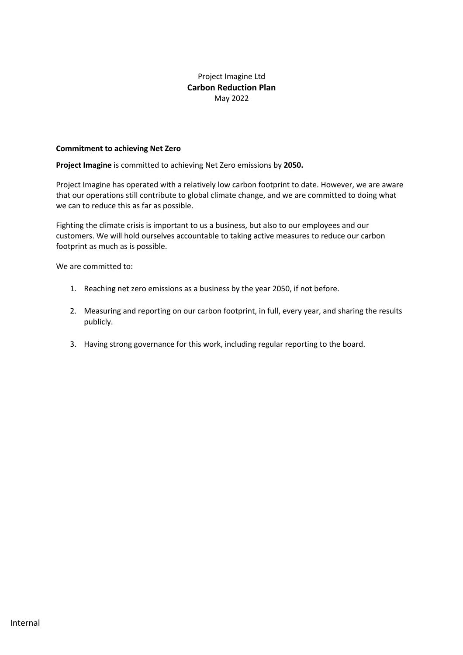# Project Imagine Ltd **Carbon Reduction Plan** May 2022

#### **Commitment to achieving Net Zero**

**Project Imagine** is committed to achieving Net Zero emissions by **2050.** 

Project Imagine has operated with a relatively low carbon footprint to date. However, we are aware that our operations still contribute to global climate change, and we are committed to doing what we can to reduce this as far as possible.

Fighting the climate crisis is important to us a business, but also to our employees and our customers. We will hold ourselves accountable to taking active measures to reduce our carbon footprint as much as is possible.

We are committed to:

- 1. Reaching net zero emissions as a business by the year 2050, if not before.
- 2. Measuring and reporting on our carbon footprint, in full, every year, and sharing the results publicly.
- 3. Having strong governance for this work, including regular reporting to the board.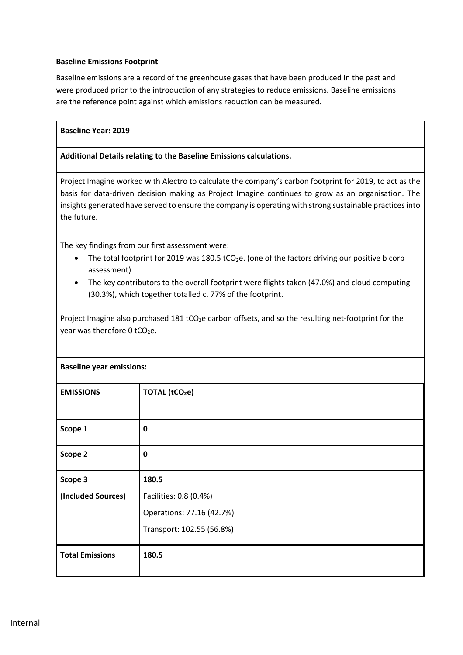## **Baseline Emissions Footprint**

Baseline emissions are a record of the greenhouse gases that have been produced in the past and were produced prior to the introduction of any strategies to reduce emissions. Baseline emissions are the reference point against which emissions reduction can be measured.

#### **Baseline Year: 2019**

#### **Additional Details relating to the Baseline Emissions calculations.**

Project Imagine worked with Alectro to calculate the company's carbon footprint for 2019, to act as the basis for data-driven decision making as Project Imagine continues to grow as an organisation. The insights generated have served to ensure the company is operating with strong sustainable practices into the future.

The key findings from our first assessment were:

- The total footprint for 2019 was 180.5 tCO<sub>2</sub>e. (one of the factors driving our positive b corp assessment)
- The key contributors to the overall footprint were flights taken (47.0%) and cloud computing (30.3%), which together totalled c. 77% of the footprint.

Project Imagine also purchased 181 tCO<sub>2</sub>e carbon offsets, and so the resulting net-footprint for the year was therefore  $0$  tCO<sub>2</sub>e.

| <b>Baseline year emissions:</b> |                            |
|---------------------------------|----------------------------|
| <b>EMISSIONS</b>                | TOTAL (tCO <sub>2</sub> e) |
| Scope 1                         | $\mathbf 0$                |
| Scope 2                         | 0                          |
| Scope 3                         | 180.5                      |
| (Included Sources)              | Facilities: 0.8 (0.4%)     |
|                                 | Operations: 77.16 (42.7%)  |
|                                 | Transport: 102.55 (56.8%)  |
| <b>Total Emissions</b>          | 180.5                      |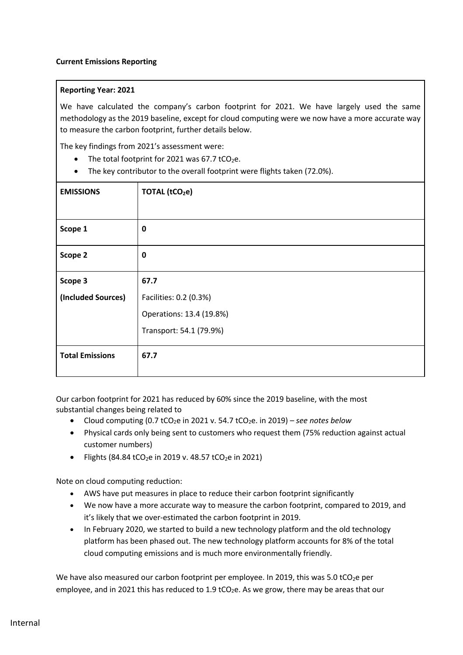### **Reporting Year: 2021**

We have calculated the company's carbon footprint for 2021. We have largely used the same methodology as the 2019 baseline, except for cloud computing were we now have a more accurate way to measure the carbon footprint, further details below.

The key findings from 2021's assessment were:

- The total footprint for 2021 was 67.7 tCO<sub>2</sub>e.
- The key contributor to the overall footprint were flights taken (72.0%).

| <b>EMISSIONS</b>       | <b>TOTAL (tCO2e)</b>     |
|------------------------|--------------------------|
|                        |                          |
| Scope 1                | $\mathbf 0$              |
| Scope 2                | $\mathbf 0$              |
| Scope 3                | 67.7                     |
| (Included Sources)     | Facilities: 0.2 (0.3%)   |
|                        | Operations: 13.4 (19.8%) |
|                        | Transport: 54.1 (79.9%)  |
| <b>Total Emissions</b> | 67.7                     |

Our carbon footprint for 2021 has reduced by 60% since the 2019 baseline, with the most substantial changes being related to

- Cloud computing  $(0.7 \text{ tCO}_2e$  in 2021 v. 54.7  $tCO_2e$ . in 2019) *see notes below*
- Physical cards only being sent to customers who request them (75% reduction against actual customer numbers)
- Flights (84.84 tCO<sub>2</sub>e in 2019 v. 48.57 tCO<sub>2</sub>e in 2021)

Note on cloud computing reduction:

- AWS have put measures in place to reduce their carbon footprint significantly
- We now have a more accurate way to measure the carbon footprint, compared to 2019, and it's likely that we over-estimated the carbon footprint in 2019.
- In February 2020, we started to build a new technology platform and the old technology platform has been phased out. The new technology platform accounts for 8% of the total cloud computing emissions and is much more environmentally friendly.

We have also measured our carbon footprint per employee. In 2019, this was 5.0 tCO<sub>2</sub>e per employee, and in 2021 this has reduced to 1.9 tCO<sub>2</sub>e. As we grow, there may be areas that our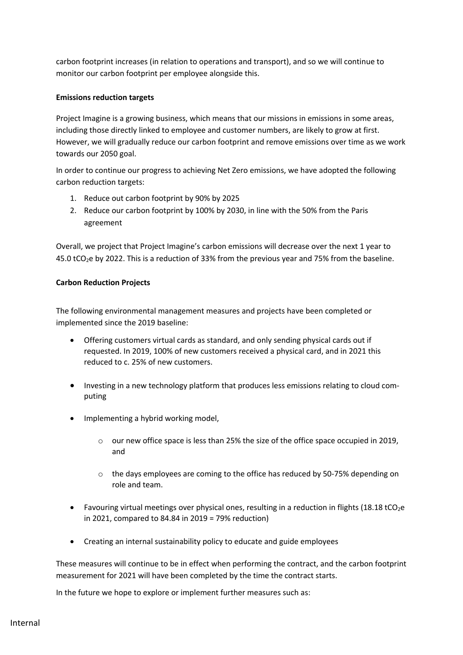carbon footprint increases (in relation to operations and transport), and so we will continue to monitor our carbon footprint per employee alongside this.

## **Emissions reduction targets**

Project Imagine is a growing business, which means that our missions in emissions in some areas, including those directly linked to employee and customer numbers, are likely to grow at first. However, we will gradually reduce our carbon footprint and remove emissions over time as we work towards our 2050 goal.

In order to continue our progress to achieving Net Zero emissions, we have adopted the following carbon reduction targets:

- 1. Reduce out carbon footprint by 90% by 2025
- 2. Reduce our carbon footprint by 100% by 2030, in line with the 50% from the Paris agreement

Overall, we project that Project Imagine's carbon emissions will decrease over the next 1 year to 45.0 tCO2e by 2022. This is a reduction of 33% from the previous year and 75% from the baseline.

# **Carbon Reduction Projects**

The following environmental management measures and projects have been completed or implemented since the 2019 baseline:

- Offering customers virtual cards as standard, and only sending physical cards out if requested. In 2019, 100% of new customers received a physical card, and in 2021 this reduced to c. 25% of new customers.
- Investing in a new technology platform that produces less emissions relating to cloud computing
- Implementing a hybrid working model,
	- o our new office space is less than 25% the size of the office space occupied in 2019, and
	- o the days employees are coming to the office has reduced by 50-75% depending on role and team.
- Favouring virtual meetings over physical ones, resulting in a reduction in flights (18.18 tCO2e in 2021, compared to 84.84 in 2019 = 79% reduction)
- Creating an internal sustainability policy to educate and guide employees

These measures will continue to be in effect when performing the contract, and the carbon footprint measurement for 2021 will have been completed by the time the contract starts.

In the future we hope to explore or implement further measures such as: